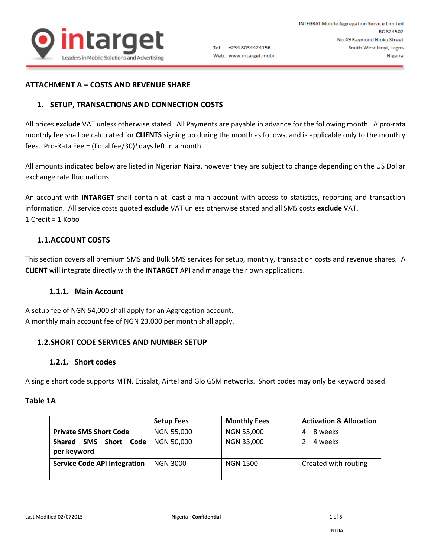

## **ATTACHMENT A – COSTS AND REVENUE SHARE**

# **1. SETUP, TRANSACTIONS AND CONNECTION COSTS**

All prices **exclude** VAT unless otherwise stated. All Payments are payable in advance for the following month. A pro-rata monthly fee shall be calculated for **CLIENTS** signing up during the month as follows, and is applicable only to the monthly fees. Pro-Rata Fee = (Total fee/30)\*days left in a month.

All amounts indicated below are listed in Nigerian Naira, however they are subject to change depending on the US Dollar exchange rate fluctuations.

An account with **INTARGET** shall contain at least a main account with access to statistics, reporting and transaction information. All service costs quoted **exclude** VAT unless otherwise stated and all SMS costs **exclude** VAT. 1 Credit = 1 Kobo

## **1.1.ACCOUNT COSTS**

This section covers all premium SMS and Bulk SMS services for setup, monthly, transaction costs and revenue shares. A **CLIENT** will integrate directly with the **INTARGET** API and manage their own applications.

## **1.1.1. Main Account**

A setup fee of NGN 54,000 shall apply for an Aggregation account. A monthly main account fee of NGN 23,000 per month shall apply.

## **1.2.SHORT CODE SERVICES AND NUMBER SETUP**

## **1.2.1. Short codes**

A single short code supports MTN, Etisalat, Airtel and Glo GSM networks. Short codes may only be keyword based.

### **Table 1A**

|                                                   | <b>Setup Fees</b> | <b>Monthly Fees</b> | <b>Activation &amp; Allocation</b> |
|---------------------------------------------------|-------------------|---------------------|------------------------------------|
| <b>Private SMS Short Code</b>                     | <b>NGN 55,000</b> | <b>NGN 55,000</b>   | $4 - 8$ weeks                      |
| Short Code<br>SMS<br><b>Shared</b><br>per keyword | NGN 50,000        | NGN 33,000          | $2 - 4$ weeks                      |
| <b>Service Code API Integration</b>               | <b>NGN 3000</b>   | <b>NGN 1500</b>     | Created with routing               |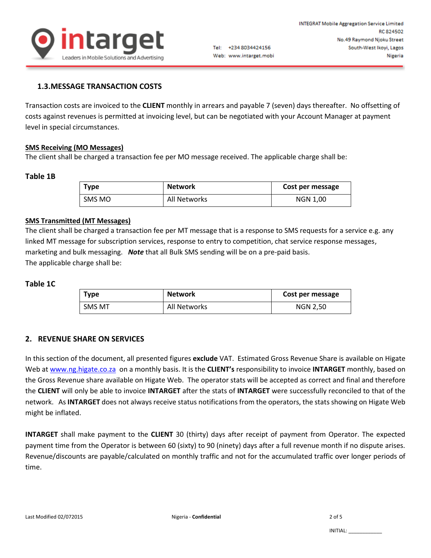

## **1.3.MESSAGE TRANSACTION COSTS**

Transaction costs are invoiced to the **CLIENT** monthly in arrears and payable 7 (seven) days thereafter. No offsetting of costs against revenues is permitted at invoicing level, but can be negotiated with your Account Manager at payment level in special circumstances.

### **SMS Receiving (MO Messages)**

The client shall be charged a transaction fee per MO message received. The applicable charge shall be:

### **Table 1B**

| Type   | <b>Network</b> | Cost per message |
|--------|----------------|------------------|
| SMS MO | All Networks   | NGN 1,00         |

### **SMS Transmitted (MT Messages)**

The client shall be charged a transaction fee per MT message that is a response to SMS requests for a service e.g. any linked MT message for subscription services, response to entry to competition, chat service response messages, marketing and bulk messaging. *Note* that all Bulk SMS sending will be on a pre-paid basis. The applicable charge shall be:

#### **Table 1C**

| <b>Type</b> | <b>Network</b> | Cost per message |
|-------------|----------------|------------------|
| SMS MT      | All Networks   | <b>NGN 2,50</b>  |

### **2. REVENUE SHARE ON SERVICES**

In this section of the document, all presented figures **exclude** VAT. Estimated Gross Revenue Share is available on Higate Web at [www.ng.higate.co.za](http://www.ng.higate.co.za/) on a monthly basis. It is the **CLIENT's** responsibility to invoice **INTARGET** monthly, based on the Gross Revenue share available on Higate Web. The operator stats will be accepted as correct and final and therefore the **CLIENT** will only be able to invoice **INTARGET** after the stats of **INTARGET** were successfully reconciled to that of the network. As **INTARGET** does not always receive status notifications from the operators, the stats showing on Higate Web might be inflated.

**INTARGET** shall make payment to the **CLIENT** 30 (thirty) days after receipt of payment from Operator. The expected payment time from the Operator is between 60 (sixty) to 90 (ninety) days after a full revenue month if no dispute arises. Revenue/discounts are payable/calculated on monthly traffic and not for the accumulated traffic over longer periods of time.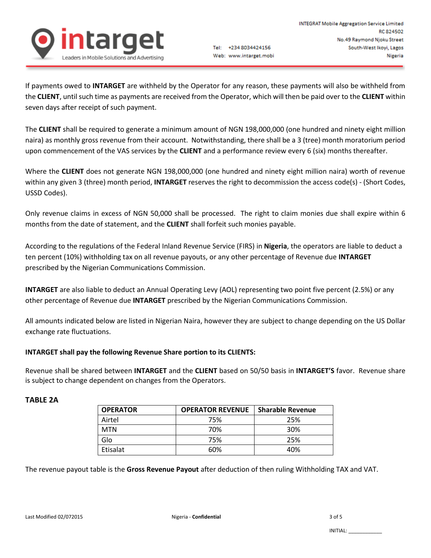

If payments owed to **INTARGET** are withheld by the Operator for any reason, these payments will also be withheld from the **CLIENT**, until such time as payments are received from the Operator, which will then be paid over to the **CLIENT** within seven days after receipt of such payment.

The **CLIENT** shall be required to generate a minimum amount of NGN 198,000,000 (one hundred and ninety eight million naira) as monthly gross revenue from their account. Notwithstanding, there shall be a 3 (tree) month moratorium period upon commencement of the VAS services by the **CLIENT** and a performance review every 6 (six) months thereafter.

Where the **CLIENT** does not generate NGN 198,000,000 (one hundred and ninety eight million naira) worth of revenue within any given 3 (three) month period, **INTARGET** reserves the right to decommission the access code(s) - (Short Codes, USSD Codes).

Only revenue claims in excess of NGN 50,000 shall be processed. The right to claim monies due shall expire within 6 months from the date of statement, and the **CLIENT** shall forfeit such monies payable.

According to the regulations of the Federal Inland Revenue Service (FIRS) in **Nigeria**, the operators are liable to deduct a ten percent (10%) withholding tax on all revenue payouts, or any other percentage of Revenue due **INTARGET** prescribed by the Nigerian Communications Commission.

**INTARGET** are also liable to deduct an Annual Operating Levy (AOL) representing two point five percent (2.5%) or any other percentage of Revenue due **INTARGET** prescribed by the Nigerian Communications Commission.

All amounts indicated below are listed in Nigerian Naira, however they are subject to change depending on the US Dollar exchange rate fluctuations.

# **INTARGET shall pay the following Revenue Share portion to its CLIENTS:**

Revenue shall be shared between **INTARGET** and the **CLIENT** based on 50/50 basis in **INTARGET'S** favor. Revenue share is subject to change dependent on changes from the Operators.

# **TABLE 2A**

| <b>OPERATOR</b> | <b>OPERATOR REVENUE</b> | <b>Sharable Revenue</b> |
|-----------------|-------------------------|-------------------------|
| Airtel          | 75%                     | 25%                     |
| <b>MTN</b>      | 70%                     | 30%                     |
| Glo             | 75%                     | 25%                     |
| Etisalat        | 60%                     | 40%                     |

The revenue payout table is the **Gross Revenue Payout** after deduction of then ruling Withholding TAX and VAT.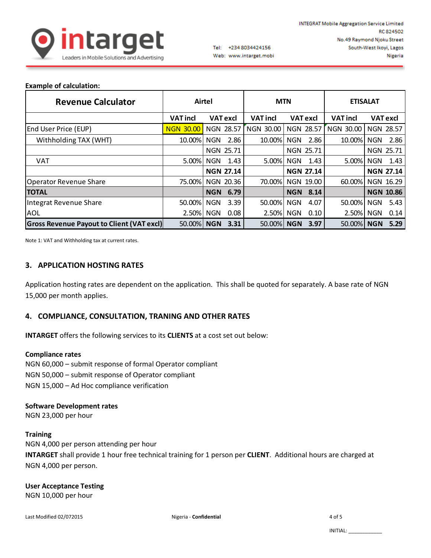

## **Example of calculation:**

| <b>Revenue Calculator</b>                        |                  | Airtel             |                 | <b>MTN</b>         |                     | <b>ETISALAT</b>    |
|--------------------------------------------------|------------------|--------------------|-----------------|--------------------|---------------------|--------------------|
|                                                  | <b>VAT incl</b>  | <b>VAT excl</b>    | <b>VAT incl</b> | <b>VAT excl</b>    | <b>VAT incl</b>     | <b>VAT excl</b>    |
| End User Price (EUP)                             | <b>NGN 30.00</b> | NGN 28.57          | NGN 30.00       | <b>NGN 28.57</b>   | <b>NGN</b><br>30.00 | NGN 28.57          |
| Withholding TAX (WHT)                            | 10.00%           | 2.86<br><b>NGN</b> | 10.00%          | 2.86<br><b>NGN</b> | 10.00%              | <b>NGN</b><br>2.86 |
|                                                  |                  | NGN 25.71          |                 | <b>NGN 25.71</b>   |                     | <b>NGN 25.71</b>   |
| <b>VAT</b>                                       | 5.00%            | 1.43<br><b>NGN</b> | 5.00%           | <b>NGN</b><br>1.43 | 5.00%               | 1.43<br><b>NGN</b> |
|                                                  |                  | <b>NGN 27.14</b>   |                 | <b>NGN 27.14</b>   |                     | <b>NGN 27.14</b>   |
| <b>Operator Revenue Share</b>                    | 75.00%           | NGN 20.36          | 70.00%          | NGN 19.00          | 60.00%              | NGN 16.29          |
| <b>TOTAL</b>                                     |                  | <b>NGN</b><br>6.79 |                 | <b>NGN</b><br>8.14 |                     | <b>NGN 10.86</b>   |
| Integrat Revenue Share                           | 50.00%           | 3.39<br><b>NGN</b> | 50.00%          | 4.07<br><b>NGN</b> | 50.00%              | 5.43<br><b>NGN</b> |
| AOL                                              | 2.50%            | <b>NGN</b><br>0.08 | 2.50% NGN       | 0.10               | 2.50%               | <b>NGN</b><br>0.14 |
| <b>Gross Revenue Payout to Client (VAT excl)</b> | 50.00%           | <b>NGN</b><br>3.31 | 50.00%          | 3.97<br><b>NGN</b> | 50.00%              | <b>NGN</b><br>5.29 |

Note 1: VAT and Withholding tax at current rates.

# **3. APPLICATION HOSTING RATES**

Application hosting rates are dependent on the application. This shall be quoted for separately. A base rate of NGN 15,000 per month applies.

## **4. COMPLIANCE, CONSULTATION, TRANING AND OTHER RATES**

**INTARGET** offers the following services to its **CLIENTS** at a cost set out below:

### **Compliance rates**

NGN 60,000 – submit response of formal Operator compliant NGN 50,000 – submit response of Operator compliant NGN 15,000 – Ad Hoc compliance verification

### **Software Development rates**

NGN 23,000 per hour

### **Training**

NGN 4,000 per person attending per hour **INTARGET** shall provide 1 hour free technical training for 1 person per **CLIENT**. Additional hours are charged at NGN 4,000 per person.

**User Acceptance Testing** NGN 10,000 per hour